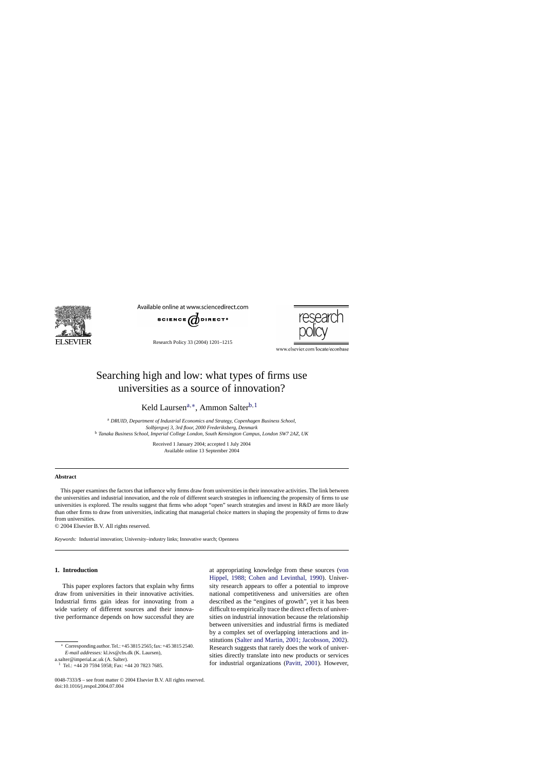

Available online at www.sciencedirect.com



Research Policy 33 (2004) 1201–1215



www.elsevier.com/locate/econbase

# Searching high and low: what types of firms use universities as a source of innovation?

Keld Laursen<sup>a,∗</sup>, Ammon Salter<sup>b, 1</sup>

<sup>a</sup> *DRUID, Department of Industrial Economics and Strategy, Copenhagen Business School, Solbjergvej 3, 3rd floor, 2000 Frederiksberg, Denmark* <sup>b</sup> *Tanaka Business School, Imperial College London, South Kensington Campus, London SW7 2AZ, UK*

> Received 1 January 2004; accepted 1 July 2004 Available online 13 September 2004

### **Abstract**

This paper examines the factors that influence why firms draw from universities in their innovative activities. The link between the universities and industrial innovation, and the role of different search strategies in influencing the propensity of firms to use universities is explored. The results suggest that firms who adopt "open" search strategies and invest in R&D are more likely than other firms to draw from universities, indicating that managerial choice matters in shaping the propensity of firms to draw from universities.

© 2004 Elsevier B.V. All rights reserved.

*Keywords:* Industrial innovation; University–industry links; Innovative search; Openness

# **1. Introduction**

This paper explores factors that explain why firms draw from universities in their innovative activities. Industrial firms gain ideas for innovating from a wide variety of different sources and their innovative performance depends on how successful they are

a.salter@imperial.ac.uk (A. Salter).

at appropriating knowledge from these sources [\(von](#page-14-0) [Hippel, 1988; Cohen and Levinthal, 1990](#page-14-0)). University research appears to offer a potential to improve national competitiveness and universities are often described as the "engines of growth", yet it has been difficult to empirically trace the direct effects of universities on industrial innovation because the relationship between universities and industrial firms is mediated by a complex set of overlapping interactions and institutions [\(Salter and Martin, 2001; Jacobsson, 2002\).](#page-14-0) Research suggests that rarely does the work of universities directly translate into new products or services for industrial organizations ([Pavitt, 2001\).](#page-14-0) However,

<sup>∗</sup> Corresponding author. Tel.: +45 3815 2565; fax: +45 3815 2540. *E-mail addresses:* kl.ivs@cbs.dk (K. Laursen),

<sup>&</sup>lt;sup>1</sup> Tel.: +44 20 7594 5958; Fax: +44 20 7823 7685.

<sup>0048-7333/\$ –</sup> see front matter © 2004 Elsevier B.V. All rights reserved. doi:10.1016/j.respol.2004.07.004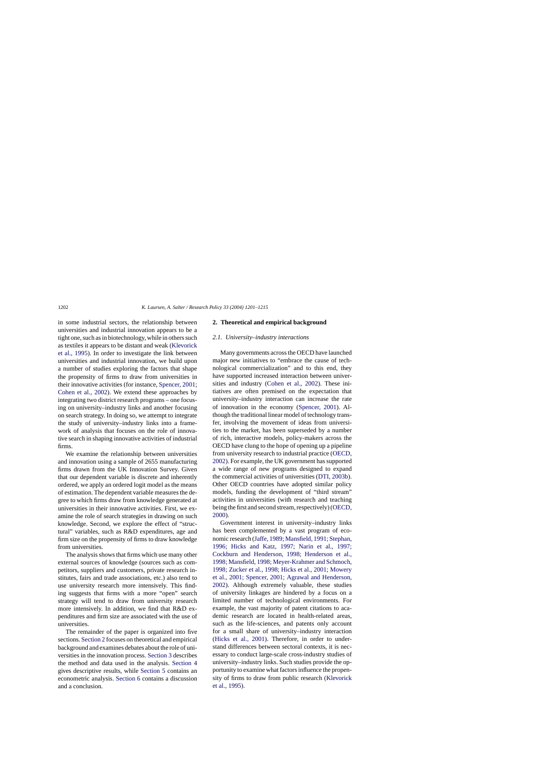in some industrial sectors, the relationship between universities and industrial innovation appears to be a tight one, such as in biotechnology, while in others such as textiles it appears to be distant and weak [\(Klevorick](#page-13-0) [et al., 1995\).](#page-13-0) In order to investigate the link between universities and industrial innovation, we build upon a number of studies exploring the factors that shape the propensity of firms to draw from universities in their innovative activities (for instance, [Spencer, 2001;](#page-14-0) [Cohen et al., 2002\)](#page-13-0). We extend these approaches by integrating two district research programs – one focusing on university–industry links and another focusing on search strategy. In doing so, we attempt to integrate the study of university–industry links into a framework of analysis that focuses on the role of innovative search in shaping innovative activities of industrial firms.

We examine the relationship between universities and innovation using a sample of 2655 manufacturing firms drawn from the UK Innovation Survey. Given that our dependent variable is discrete and inherently ordered, we apply an ordered logit model as the means of estimation. The dependent variable measures the degree to which firms draw from knowledge generated at universities in their innovative activities. First, we examine the role of search strategies in drawing on such knowledge. Second, we explore the effect of "structural" variables, such as R&D expenditures, age and firm size on the propensity of firms to draw knowledge from universities.

The analysis shows that firms which use many other external sources of knowledge (sources such as competitors, suppliers and customers, private research institutes, fairs and trade associations, etc.) also tend to use university research more intensively. This finding suggests that firms with a more "open" search strategy will tend to draw from university research more intensively. In addition, we find that R&D expenditures and firm size are associated with the use of universities.

The remainder of the paper is organized into five sections. Section 2 focuses on theoretical and empirical background and examines debates about the role of universities in the innovation process. [Section 3](#page-4-0) describes the method and data used in the analysis. [Section 4](#page-5-0) gives descriptive results, while [Section 5](#page-7-0) contains an econometric analysis. [Section 6](#page-10-0) contains a discussion and a conclusion.

#### **2. Theoretical and empirical background**

## *2.1. University–industry interactions*

Many governments across the OECD have launched major new initiatives to "embrace the cause of technological commercialization" and to this end, they have supported increased interaction between universities and industry ([Cohen et al., 2002](#page-13-0)). These initiatives are often premised on the expectation that university–industry interaction can increase the rate of innovation in the economy ([Spencer, 2001\)](#page-14-0). Although the traditional linear model of technology transfer, involving the movement of ideas from universities to the market, has been superseded by a number of rich, interactive models, policy-makers across the OECD have clung to the hope of opening up a pipeline from university research to industrial practice [\(OECD,](#page-14-0) [2002\).](#page-14-0) For example, the UK government has supported a wide range of new programs designed to expand the commercial activities of universities ([DTI, 2003b\).](#page-13-0) Other OECD countries have adopted similar policy models, funding the development of "third stream" activities in universities (with research and teaching being the first and second stream, respectively) [\(OECD,](#page-14-0) [2000\).](#page-14-0)

Government interest in university–industry links has been complemented by a vast program of economic research [\(Jaffe, 1989; Mansfield, 1991; Stephan,](#page-13-0) [1996; Hicks and Katz, 1997; Narin et al., 1997;](#page-13-0) [Cockburn and Henderson, 1998; Henderson et al.,](#page-13-0) [1998; Mansfield, 1998; Meyer-Krahmer and Schmoch,](#page-13-0) [1998; Zucker et al., 1998; Hicks et al., 2001; Mowery](#page-13-0) [et al., 2001; Spencer, 2001; Agrawal and Henderson,](#page-13-0) [2002\).](#page-13-0) Although extremely valuable, these studies of university linkages are hindered by a focus on a limited number of technological environments. For example, the vast majority of patent citations to academic research are located in health-related areas, such as the life-sciences, and patents only account for a small share of university–industry interaction ([Hicks et al., 2001](#page-13-0)). Therefore, in order to understand differences between sectoral contexts, it is necessary to conduct large-scale cross-industry studies of university–industry links. Such studies provide the opportunity to examine what factors influence the propensity of firms to draw from public research [\(Klevorick](#page-13-0) [et al., 1995\).](#page-13-0)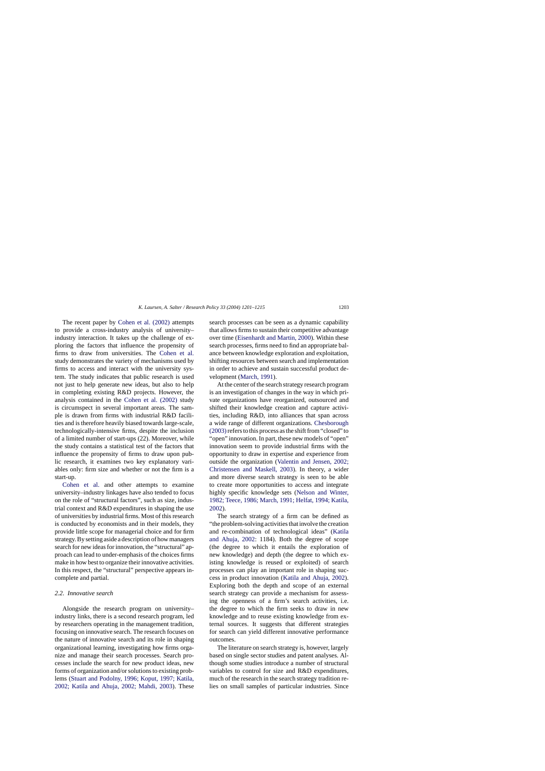The recent paper by [Cohen et al. \(2002\)](#page-13-0) attempts to provide a cross-industry analysis of university– industry interaction. It takes up the challenge of exploring the factors that influence the propensity of firms to draw from universities. The [Cohen et al.](#page-13-0) study demonstrates the variety of mechanisms used by firms to access and interact with the university system. The study indicates that public research is used not just to help generate new ideas, but also to help in completing existing R&D projects. However, the analysis contained in the [Cohen et al. \(2002\)](#page-13-0) study is circumspect in several important areas. The sample is drawn from firms with industrial R&D facilities and is therefore heavily biased towards large-scale, technologically-intensive firms, despite the inclusion of a limited number of start-ups (22). Moreover, while the study contains a statistical test of the factors that influence the propensity of firms to draw upon public research, it examines two key explanatory variables only: firm size and whether or not the firm is a start-up.

[Cohen et al](#page-13-0). and other attempts to examine university–industry linkages have also tended to focus on the role of "structural factors", such as size, industrial context and R&D expenditures in shaping the use of universities by industrial firms. Most of this research is conducted by economists and in their models, they provide little scope for managerial choice and for firm strategy. By setting aside a description of how managers search for new ideas for innovation, the "structural" approach can lead to under-emphasis of the choices firms make in how best to organize their innovative activities. In this respect, the "structural" perspective appears incomplete and partial.

#### *2.2. Innovative search*

Alongside the research program on university– industry links, there is a second research program, led by researchers operating in the management tradition, focusing on innovative search. The research focuses on the nature of innovative search and its role in shaping organizational learning, investigating how firms organize and manage their search processes. Search processes include the search for new product ideas, new forms of organization and/or solutions to existing problems ([Stuart and Podolny, 1996; Koput, 1997; Katila,](#page-14-0) [2002; Katila and Ahuja, 2002; Mahdi, 2003](#page-14-0)). These

search processes can be seen as a dynamic capability that allows firms to sustain their competitive advantage over time ([Eisenhardt and Martin, 2000\).](#page-13-0) Within these search processes, firms need to find an appropriate balance between knowledge exploration and exploitation, shifting resources between search and implementation in order to achieve and sustain successful product development [\(March, 1991\).](#page-13-0)

At the center of the search strategy research program is an investigation of changes in the way in which private organizations have reorganized, outsourced and shifted their knowledge creation and capture activities, including R&D, into alliances that span across a wide range of different organizations. [Chesborough](#page-13-0) [\(2003\)r](#page-13-0)efers to this process as the shift from "closed" to "open" innovation. In part, these new models of "open" innovation seem to provide industrial firms with the opportunity to draw in expertise and experience from outside the organization ([Valentin and Jensen, 2002;](#page-14-0) [Christensen and Maskell, 2003](#page-14-0)). In theory, a wider and more diverse search strategy is seen to be able to create more opportunities to access and integrate highly specific knowledge sets [\(Nelson and Winter,](#page-13-0) [1982; Teece, 1986; March, 1991; Helfat, 1994; Katila,](#page-13-0) [2002\).](#page-13-0)

The search strategy of a firm can be defined as "the problem-solving activities that involve the creation and re-combination of technological ideas" ([Katila](#page-13-0) [and Ahuja, 2002:](#page-13-0) 1184). Both the degree of scope (the degree to which it entails the exploration of new knowledge) and depth (the degree to which existing knowledge is reused or exploited) of search processes can play an important role in shaping success in product innovation ([Katila and Ahuja, 2002\)](#page-13-0). Exploring both the depth and scope of an external search strategy can provide a mechanism for assessing the openness of a firm's search activities, i.e. the degree to which the firm seeks to draw in new knowledge and to reuse existing knowledge from external sources. It suggests that different strategies for search can yield different innovative performance outcomes.

The literature on search strategy is, however, largely based on single sector studies and patent analyses. Although some studies introduce a number of structural variables to control for size and R&D expenditures, much of the research in the search strategy tradition relies on small samples of particular industries. Since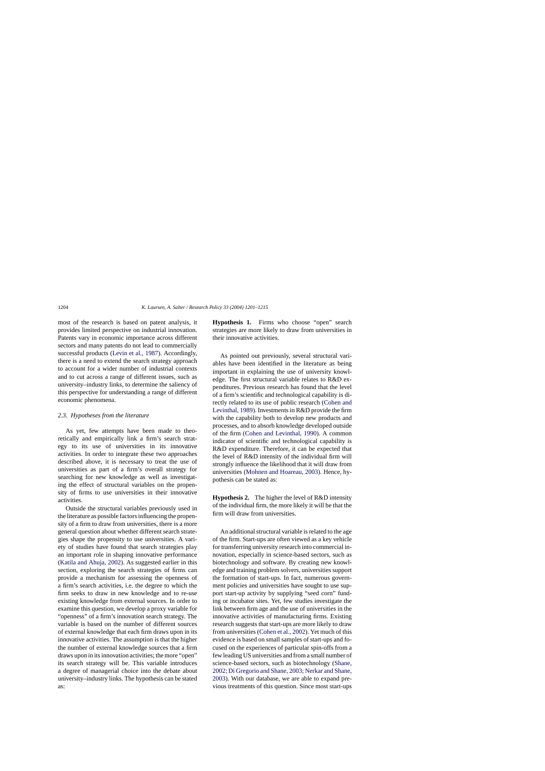most of the research is based on patent analysis, it provides limited perspective on industrial innovation. Patents vary in economic importance across different sectors and many patents do not lead to commercially successful products ([Levin et al., 1987\).](#page-13-0) Accordingly, there is a need to extend the search strategy approach to account for a wider number of industrial contexts and to cut across a range of different issues, such as university–industry links, to determine the saliency of this perspective for understanding a range of different economic phenomena.

#### *2.3. Hypotheses from the literature*

As yet, few attempts have been made to theoretically and empirically link a firm's search strategy to its use of universities in its innovative activities. In order to integrate these two approaches described above, it is necessary to treat the use of universities as part of a firm's overall strategy for searching for new knowledge as well as investigating the effect of structural variables on the propensity of firms to use universities in their innovative activities.

Outside the structural variables previously used in the literature as possible factors influencing the propensity of a firm to draw from universities, there is a more general question about whether different search strategies shape the propensity to use universities. A variety of studies have found that search strategies play an important role in shaping innovative performance ([Katila and Ahuja, 2002\).](#page-13-0) As suggested earlier in this section, exploring the search strategies of firms can provide a mechanism for assessing the openness of a firm's search activities, i.e. the degree to which the firm seeks to draw in new knowledge and to re-use existing knowledge from external sources. In order to examine this question, we develop a proxy variable for "openness" of a firm's innovation search strategy. The variable is based on the number of different sources of external knowledge that each firm draws upon in its innovative activities. The assumption is that the higher the number of external knowledge sources that a firm draws upon in its innovation activities; the more "open" its search strategy will be. This variable introduces a degree of managerial choice into the debate about university–industry links. The hypothesis can be stated as:

**Hypothesis 1.** Firms who choose "open" search strategies are more likely to draw from universities in their innovative activities.

As pointed out previously, several structural variables have been identified in the literature as being important in explaining the use of university knowledge. The first structural variable relates to R&D expenditures. Previous research has found that the level of a firm's scientific and technological capability is directly related to its use of public research ([Cohen and](#page-13-0) [Levinthal, 1989\).](#page-13-0) Investments in R&D provide the firm with the capability both to develop new products and processes, and to absorb knowledge developed outside of the firm ([Cohen and Levinthal, 1990\)](#page-13-0). A common indicator of scientific and technological capability is R&D expenditure. Therefore, it can be expected that the level of R&D intensity of the individual firm will strongly influence the likelihood that it will draw from universities [\(Mohnen and Hoareau, 2003\).](#page-13-0) Hence, hypothesis can be stated as:

**Hypothesis 2.** The higher the level of R&D intensity of the individual firm, the more likely it will be that the firm will draw from universities.

An additional structural variable is related to the age of the firm. Start-ups are often viewed as a key vehicle for transferring university research into commercial innovation, especially in science-based sectors, such as biotechnology and software. By creating new knowledge and training problem solvers, universities support the formation of start-ups. In fact, numerous government policies and universities have sought to use support start-up activity by supplying "seed corn" funding or incubator sites. Yet, few studies investigate the link between firm age and the use of universities in the innovative activities of manufacturing firms. Existing research suggests that start-ups are more likely to draw from universities ([Cohen et al., 2002\).](#page-13-0) Yet much of this evidence is based on small samples of start-ups and focused on the experiences of particular spin-offs from a few leading US universities and from a small number of science-based sectors, such as biotechnology [\(Shane,](#page-14-0) [2002; Di Gregorio and Shane, 2003; Nerkar and Shane,](#page-14-0) [2003\).](#page-14-0) With our database, we are able to expand previous treatments of this question. Since most start-ups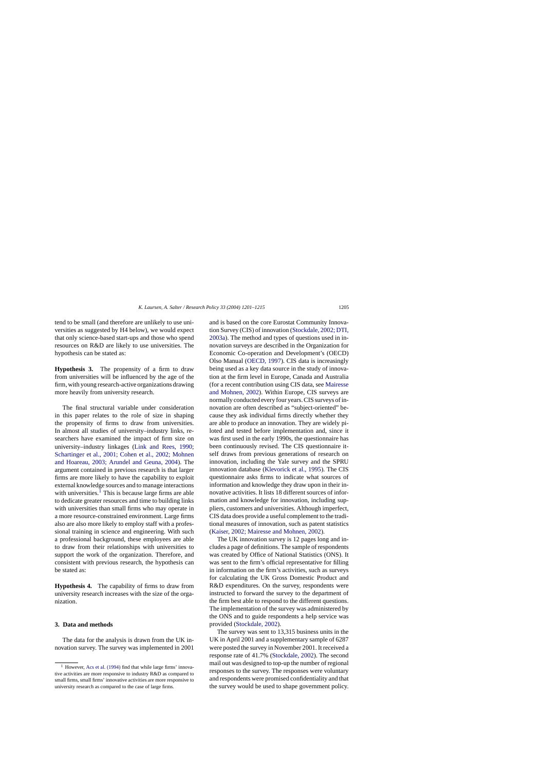<span id="page-4-0"></span>tend to be small (and therefore are unlikely to use universities as suggested by H4 below), we would expect that only science-based start-ups and those who spend resources on R&D are likely to use universities. The hypothesis can be stated as:

**Hypothesis 3.** The propensity of a firm to draw from universities will be influenced by the age of the firm, with young research-active organizations drawing more heavily from university research.

The final structural variable under consideration in this paper relates to the role of size in shaping the propensity of firms to draw from universities. In almost all studies of university–industry links, researchers have examined the impact of firm size on university–industry linkages ([Link and Rees, 1990](#page-13-0); [Schartinger et al., 2001; Cohen et al., 2002; Mohnen](#page-14-0) [and Hoareau, 2003; Arundel and Geuna, 2004](#page-14-0)). The argument contained in previous research is that larger firms are more likely to have the capability to exploit external knowledge sources and to manage interactions with universities.<sup>1</sup> This is because large firms are able to dedicate greater resources and time to building links with universities than small firms who may operate in a more resource-constrained environment. Large firms also are also more likely to employ staff with a professional training in science and engineering. With such a professional background, these employees are able to draw from their relationships with universities to support the work of the organization. Therefore, and consistent with previous research, the hypothesis can be stated as:

**Hypothesis 4.** The capability of firms to draw from university research increases with the size of the organization.

#### **3. Data and methods**

The data for the analysis is drawn from the UK innovation survey. The survey was implemented in 2001 and is based on the core Eurostat Community Innovation Survey (CIS) of innovation ([Stockdale, 2002; DTI,](#page-14-0) [2003a\).](#page-14-0) The method and types of questions used in innovation surveys are described in the Organization for Economic Co-operation and Development's (OECD) Olso Manual ([OECD, 1997\).](#page-13-0) CIS data is increasingly being used as a key data source in the study of innovation at the firm level in Europe, Canada and Australia (for a recent contribution using CIS data, see [Mairesse](#page-13-0) [and Mohnen, 2002\).](#page-13-0) Within Europe, CIS surveys are normally conducted every four years. CIS surveys of innovation are often described as "subject-oriented" because they ask individual firms directly whether they are able to produce an innovation. They are widely piloted and tested before implementation and, since it was first used in the early 1990s, the questionnaire has been continuously revised. The CIS questionnaire itself draws from previous generations of research on innovation, including the Yale survey and the SPRU innovation database [\(Klevorick et al., 1995\).](#page-13-0) The CIS questionnaire asks firms to indicate what sources of information and knowledge they draw upon in their innovative activities. It lists 18 different sources of information and knowledge for innovation, including suppliers, customers and universities. Although imperfect, CIS data does provide a useful complement to the traditional measures of innovation, such as patent statistics [\(Kaiser, 2002; Mairesse and Mohnen, 2002\).](#page-13-0)

The UK innovation survey is 12 pages long and includes a page of definitions. The sample of respondents was created by Office of National Statistics (ONS). It was sent to the firm's official representative for filling in information on the firm's activities, such as surveys for calculating the UK Gross Domestic Product and R&D expenditures. On the survey, respondents were instructed to forward the survey to the department of the firm best able to respond to the different questions. The implementation of the survey was administered by the ONS and to guide respondents a help service was provided ([Stockdale, 2002\).](#page-14-0)

The survey was sent to 13,315 business units in the UK in April 2001 and a supplementary sample of 6287 were posted the survey in November 2001. It received a response rate of 41.7% ([Stockdale, 2002\).](#page-14-0) The second mail out was designed to top-up the number of regional responses to the survey. The responses were voluntary and respondents were promised confidentiality and that the survey would be used to shape government policy.

<sup>1</sup> However, [Acs et al. \(1994\)](#page-13-0) find that while large firms' innovative activities are more responsive to industry R&D as compared to small firms, small firms' innovative activities are more responsive to university research as compared to the case of large firms.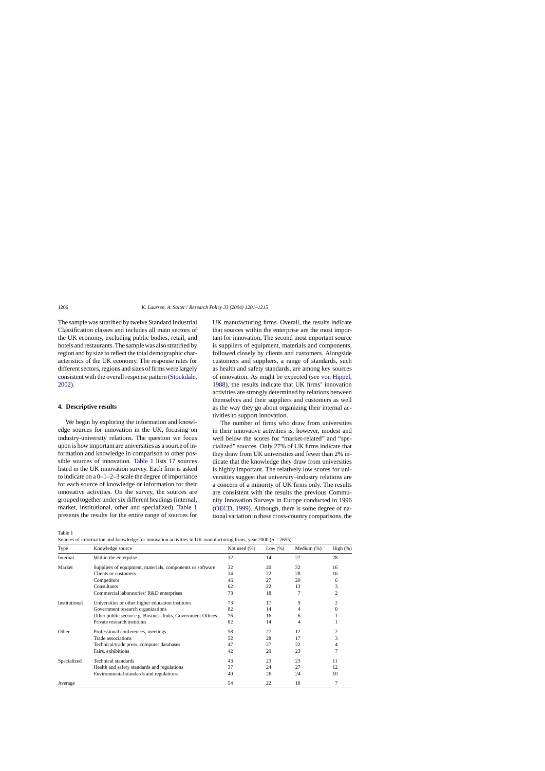<span id="page-5-0"></span>The sample was stratified by twelve Standard Industrial Classification classes and includes all main sectors of the UK economy, excluding public bodies, retail, and hotels and restaurants. The sample was also stratified by region and by size to reflect the total demographic characteristics of the UK economy. The response rates for different sectors, regions and sizes of firms were largely consistent with the overall response pattern ([Stockdale,](#page-14-0) [2002\).](#page-14-0)

## **4. Descriptive results**

We begin by exploring the information and knowledge sources for innovation in the UK, focusing on industry-university relations. The question we focus upon is how important are universities as a source of information and knowledge in comparison to other possible sources of innovation. Table 1 lists 17 sources listed in the UK innovation survey. Each firm is asked to indicate on a 0–1–2–3 scale the degree of importance for each source of knowledge or information for their innovative activities. On the survey, the sources are grouped together under six different headings (internal, market, institutional, other and specialized). Table 1 presents the results for the entire range of sources for UK manufacturing firms. Overall, the results indicate that sources within the enterprise are the most important for innovation. The second most important source is suppliers of equipment, materials and components, followed closely by clients and customers. Alongside customers and suppliers, a range of standards, such as health and safety standards, are among key sources of innovation. As might be expected (see [von Hippel,](#page-14-0) [1988\),](#page-14-0) the results indicate that UK firms' innovation activities are strongly determined by relations between themselves and their suppliers and customers as well as the way they go about organizing their internal activities to support innovation.

The number of firms who draw from universities in their innovative activities is, however, modest and well below the scores for "market-related" and "specialized" sources. Only 27% of UK firms indicate that they draw from UK universities and fewer than 2% indicate that the knowledge they draw from universities is highly important. The relatively low scores for universities suggest that university–industry relations are a concern of a minority of UK firms only. The results are consistent with the results the previous Community Innovation Surveys in Europe conducted in 1996 ([OECD, 1999\).](#page-13-0) Although, there is some degree of national variation in these cross-country comparisons, the

Table 1

Sources of information and knowledge for innovation activities in UK manufacturing firms, year 2000 (*n* = 2655)

| Type          | Knowledge source                                            | Not used $(\% )$ | Low $(\%)$ | Medium $(\%)$ | High $(\%)$ |
|---------------|-------------------------------------------------------------|------------------|------------|---------------|-------------|
| Internal      | Within the enterprise                                       | 32               | 14         | 27            | 28          |
| Market        | Suppliers of equipment, materials, components or software   | 32               | 20         | 32            | 16          |
|               | Clients or customers                                        | 34               | 22         | 28            | 16          |
|               | Competitors                                                 | 46               | 27         | 20            | 6           |
|               | Consultants                                                 | 62               | 22         | 13            | 3           |
|               | Commercial laboratories/R&D enterprises                     | 73               | 18         |               | 2           |
| Institutional | Universities or other higher education institutes           | 73               | 17         | 9             | 2           |
|               | Government research organizations                           | 82               | 14         | 4             | 0           |
|               | Other public sector e.g. Business links, Government Offices | 76               | 16         | 6             |             |
|               | Private research institutes                                 | 82               | 14         | 4             |             |
| Other         | Professional conferences, meetings                          | 58               | 27         | 12            |             |
|               | Trade associations                                          | 52               | 28         | 17            | 3           |
|               | Technical/trade press, computer databases                   | 47               | 27         | 22            |             |
|               | Fairs, exhibitions                                          | 42               | 29         | 23            |             |
| Specialized   | <b>Technical standards</b>                                  | 43               | 23         | 23            | 11          |
|               | Health and safety standards and regulations                 | 37               | 24         | 27            | 12          |
|               | Environmental standards and regulations                     | 40               | 26         | 24            | 10          |
| Average       |                                                             | 54               | 22         | 18            |             |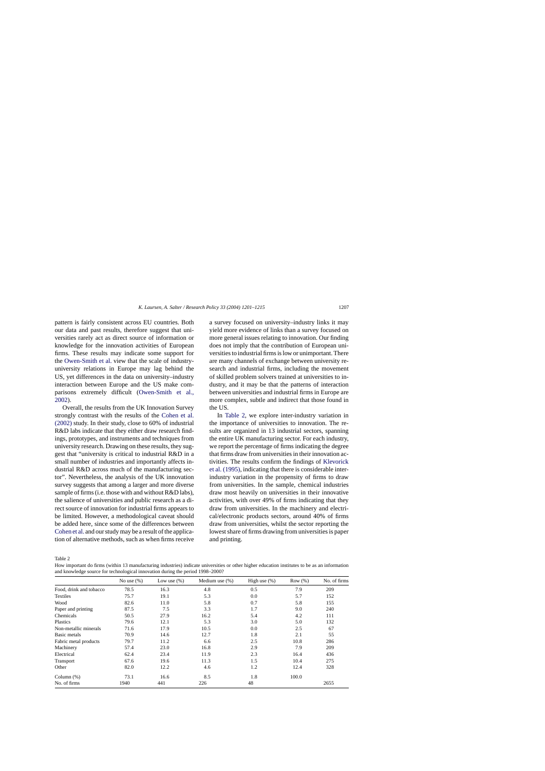<span id="page-6-0"></span>pattern is fairly consistent across EU countries. Both our data and past results, therefore suggest that universities rarely act as direct source of information or knowledge for the innovation activities of European firms. These results may indicate some support for the [Owen-Smith et al.](#page-14-0) view that the scale of industryuniversity relations in Europe may lag behind the US, yet differences in the data on university–industry interaction between Europe and the US make comparisons extremely difficult ([Owen-Smith et al.](#page-14-0), [2002\).](#page-14-0)

Overall, the results from the UK Innovation Survey strongly contrast with the results of the [Cohen et al.](#page-13-0) [\(2002\)](#page-13-0) study. In their study, close to 60% of industrial R&D labs indicate that they either draw research findings, prototypes, and instruments and techniques from university research. Drawing on these results, they suggest that "university is critical to industrial R&D in a small number of industries and importantly affects industrial R&D across much of the manufacturing sector". Nevertheless, the analysis of the UK innovation survey suggests that among a larger and more diverse sample of firms (i.e. those with and without R&D labs), the salience of universities and public research as a direct source of innovation for industrial firms appears to be limited. However, a methodological caveat should be added here, since some of the differences between [Cohen et al.](#page-13-0) and our study may be a result of the application of alternative methods, such as when firms receive a survey focused on university–industry links it may yield more evidence of links than a survey focused on more general issues relating to innovation. Our finding does not imply that the contribution of European universities to industrial firms is low or unimportant. There are many channels of exchange between university research and industrial firms, including the movement of skilled problem solvers trained at universities to industry, and it may be that the patterns of interaction between universities and industrial firms in Europe are more complex, subtle and indirect that those found in the US.

In Table 2, we explore inter-industry variation in the importance of universities to innovation. The results are organized in 13 industrial sectors, spanning the entire UK manufacturing sector. For each industry, we report the percentage of firms indicating the degree that firms draw from universities in their innovation activities. The results confirm the findings of [Klevorick](#page-13-0) [et al. \(1995\), i](#page-13-0)ndicating that there is considerable interindustry variation in the propensity of firms to draw from universities. In the sample, chemical industries draw most heavily on universities in their innovative activities, with over 49% of firms indicating that they draw from universities. In the machinery and electrical/electronic products sectors, around 40% of firms draw from universities, whilst the sector reporting the lowest share of firms drawing from universities is paper and printing.

Table 2

How important do firms (within 13 manufacturing industries) indicate universities or other higher education institutes to be as an information and knowledge source for technological innovation during the period 1998–2000?

|                         | No use $(\%)$ | Low use $(\%)$ | Medium use $(\%)$ | High use $(\%)$ | Row $(\%)$ | No. of firms |
|-------------------------|---------------|----------------|-------------------|-----------------|------------|--------------|
| Food, drink and tobacco | 78.5          | 16.3           | 4.8               | 0.5             | 7.9        | 209          |
| Textiles                | 75.7          | 19.1           | 5.3               | 0.0             | 5.7        | 152          |
| Wood                    | 82.6          | 11.0           | 5.8               | 0.7             | 5.8        | 155          |
| Paper and printing      | 87.5          | 7.5            | 3.3               | 1.7             | 9.0        | 240          |
| Chemicals               | 50.5          | 27.9           | 16.2              | 5.4             | 4.2        | 111          |
| Plastics                | 79.6          | 12.1           | 5.3               | 3.0             | 5.0        | 132          |
| Non-metallic minerals   | 71.6          | 17.9           | 10.5              | 0.0             | 2.5        | 67           |
| Basic metals            | 70.9          | 14.6           | 12.7              | 1.8             | 2.1        | 55           |
| Fabric metal products   | 79.7          | 11.2           | 6.6               | 2.5             | 10.8       | 286          |
| Machinery               | 57.4          | 23.0           | 16.8              | 2.9             | 7.9        | 209          |
| Electrical              | 62.4          | 23.4           | 11.9              | 2.3             | 16.4       | 436          |
| Transport               | 67.6          | 19.6           | 11.3              | 1.5             | 10.4       | 275          |
| Other                   | 82.0          | 12.2           | 4.6               | 1.2             | 12.4       | 328          |
| Column $(\%)$           | 73.1          | 16.6           | 8.5               | 1.8             | 100.0      |              |
| No. of firms            | 1940          | 441            | 226               | 48              |            | 2655         |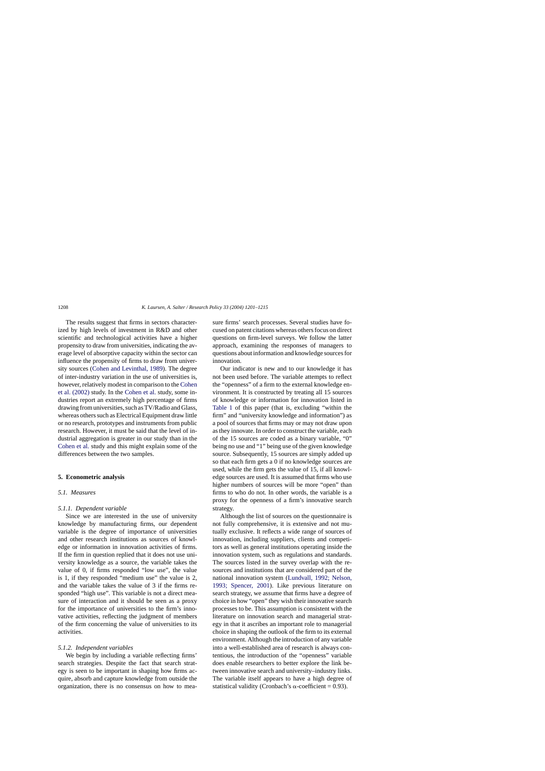The results suggest that firms in sectors characterized by high levels of investment in R&D and other scientific and technological activities have a higher propensity to draw from universities, indicating the average level of absorptive capacity within the sector can influence the propensity of firms to draw from university sources ([Cohen and Levinthal, 1989\).](#page-13-0) The degree of inter-industry variation in the use of universities is, however, relatively modest in comparison to the [Cohen](#page-13-0) [et al. \(2002\)](#page-13-0) study. In the [Cohen et al.](#page-13-0) study, some industries report an extremely high percentage of firms drawing from universities, such as TV/Radio and Glass, whereas others such as Electrical Equipment draw little or no research, prototypes and instruments from public research. However, it must be said that the level of industrial aggregation is greater in our study than in the [Cohen et al.](#page-13-0) study and this might explain some of the differences between the two samples.

#### **5. Econometric analysis**

## *5.1. Measures*

#### *5.1.1. Dependent variable*

Since we are interested in the use of university knowledge by manufacturing firms, our dependent variable is the degree of importance of universities and other research institutions as sources of knowledge or information in innovation activities of firms. If the firm in question replied that it does not use university knowledge as a source, the variable takes the value of 0, if firms responded "low use", the value is 1, if they responded "medium use" the value is 2, and the variable takes the value of 3 if the firms responded "high use". This variable is not a direct measure of interaction and it should be seen as a proxy for the importance of universities to the firm's innovative activities, reflecting the judgment of members of the firm concerning the value of universities to its activities.

## *5.1.2. Independent variables*

We begin by including a variable reflecting firms' search strategies. Despite the fact that search strategy is seen to be important in shaping how firms acquire, absorb and capture knowledge from outside the organization, there is no consensus on how to measure firms' search processes. Several studies have focused on patent citations whereas others focus on direct questions on firm-level surveys. We follow the latter approach, examining the responses of managers to questions about information and knowledge sources for innovation.

Our indicator is new and to our knowledge it has not been used before. The variable attempts to reflect the "openness" of a firm to the external knowledge environment. It is constructed by treating all 15 sources of knowledge or information for innovation listed in [Table 1](#page-5-0) of this paper (that is, excluding "within the firm" and "university knowledge and information") as a pool of sources that firms may or may not draw upon as they innovate. In order to construct the variable, each of the 15 sources are coded as a binary variable, "0" being no use and "1" being use of the given knowledge source. Subsequently, 15 sources are simply added up so that each firm gets a 0 if no knowledge sources are used, while the firm gets the value of 15, if all knowledge sources are used. It is assumed that firms who use higher numbers of sources will be more "open" than firms to who do not. In other words, the variable is a proxy for the openness of a firm's innovative search strategy.

Although the list of sources on the questionnaire is not fully comprehensive, it is extensive and not mutually exclusive. It reflects a wide range of sources of innovation, including suppliers, clients and competitors as well as general institutions operating inside the innovation system, such as regulations and standards. The sources listed in the survey overlap with the resources and institutions that are considered part of the national innovation system ([Lundvall, 1992; Nelson,](#page-13-0) [1993; Spencer, 2001](#page-13-0)). Like previous literature on search strategy, we assume that firms have a degree of choice in how "open" they wish their innovative search processes to be. This assumption is consistent with the literature on innovation search and managerial strategy in that it ascribes an important role to managerial choice in shaping the outlook of the firm to its external environment. Although the introduction of any variable into a well-established area of research is always contentious, the introduction of the "openness" variable does enable researchers to better explore the link between innovative search and university–industry links. The variable itself appears to have a high degree of statistical validity (Cronbach's  $\alpha$ -coefficient = 0.93).

<span id="page-7-0"></span>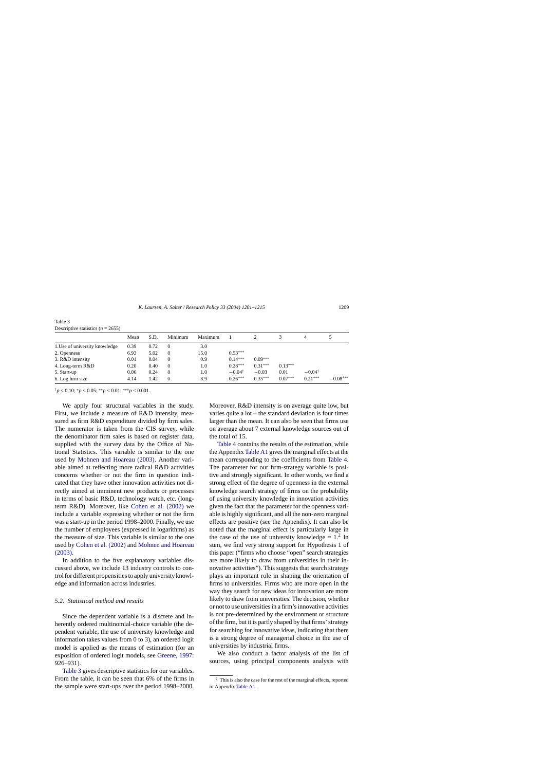| Table 3                               |  |  |
|---------------------------------------|--|--|
| Descriptive statistics ( $n = 2655$ ) |  |  |

|                                | Mean | S.D. | Minimum  | Maximum |                   |           |           | 4                 |            |
|--------------------------------|------|------|----------|---------|-------------------|-----------|-----------|-------------------|------------|
| 1. Use of university knowledge | 0.39 | 0.72 |          | 3.0     |                   |           |           |                   |            |
| 2. Openness                    | 6.93 | 5.02 | $\Omega$ | 15.0    | $0.53***$         |           |           |                   |            |
| 3. R&D intensity               | 0.01 | 0.04 | $\Omega$ | 0.9     | $0.14***$         | $0.09***$ |           |                   |            |
| 4. Long-term R&D               | 0.20 | 0.40 | $\Omega$ | 1.0     | $0.28***$         | $0.31***$ | $0.13***$ |                   |            |
| 5. Start-up                    | 0.06 | 0.24 | $\Omega$ | 1.0     | $-0.04^{\dagger}$ | $-0.03$   | 0.01      | $-0.04^{\dagger}$ |            |
| 6. Log firm size               | 4.14 | 1.42 | $\Omega$ | 8.9     | $0.26***$         | $0.35***$ | $0.07***$ | $0.21***$         | $-0.08***$ |

†*p* < 0.10; <sup>∗</sup>*p* < 0.05; ∗∗*p* < 0.01; ∗∗∗*p* < 0.001.

We apply four structural variables in the study. First, we include a measure of R&D intensity, measured as firm R&D expenditure divided by firm sales. The numerator is taken from the CIS survey, while the denominator firm sales is based on register data, supplied with the survey data by the Office of National Statistics. This variable is similar to the one used by [Mohnen and Hoareau \(2003\).](#page-13-0) Another variable aimed at reflecting more radical R&D activities concerns whether or not the firm in question indicated that they have other innovation activities not directly aimed at imminent new products or processes in terms of basic R&D, technology watch, etc. (longterm R&D). Moreover, like [Cohen et al. \(2002\)](#page-13-0) we include a variable expressing whether or not the firm was a start-up in the period 1998–2000. Finally, we use the number of employees (expressed in logarithms) as the measure of size. This variable is similar to the one used by [Cohen et al. \(2002\)](#page-13-0) and [Mohnen and Hoareau](#page-13-0) [\(2003\).](#page-13-0)

In addition to the five explanatory variables discussed above, we include 13 industry controls to control for different propensities to apply university knowledge and information across industries.

## *5.2. Statistical method and results*

Since the dependent variable is a discrete and inherently ordered multinomial-choice variable (the dependent variable, the use of university knowledge and information takes values from 0 to 3), an ordered logit model is applied as the means of estimation (for an exposition of ordered logit models, see [Greene, 1997:](#page-13-0) 926–931).

Table 3 gives descriptive statistics for our variables. From the table, it can be seen that 6% of the firms in the sample were start-ups over the period 1998–2000.

Moreover, R&D intensity is on average quite low, but varies quite a lot – the standard deviation is four times larger than the mean. It can also be seen that firms use on average about 7 external knowledge sources out of the total of 15.

[Table 4](#page-9-0) contains the results of the estimation, while the Appendix [Table A1](#page-12-0) gives the marginal effects at the mean corresponding to the coefficients from [Table 4.](#page-9-0) The parameter for our firm-strategy variable is positive and strongly significant. In other words, we find a strong effect of the degree of openness in the external knowledge search strategy of firms on the probability of using university knowledge in innovation activities given the fact that the parameter for the openness variable is highly significant, and all the non-zero marginal effects are positive (see the Appendix). It can also be noted that the marginal effect is particularly large in the case of the use of university knowledge  $= 1.2$  In sum, we find very strong support for Hypothesis 1 of this paper ("firms who choose "open" search strategies are more likely to draw from universities in their innovative activities"). This suggests that search strategy plays an important role in shaping the orientation of firms to universities. Firms who are more open in the way they search for new ideas for innovation are more likely to draw from universities. The decision, whether or not to use universities in a firm's innovative activities is not pre-determined by the environment or structure of the firm, but it is partly shaped by that firms' strategy for searching for innovative ideas, indicating that there is a strong degree of managerial choice in the use of universities by industrial firms.

We also conduct a factor analysis of the list of sources, using principal components analysis with

 $2$  This is also the case for the rest of the marginal effects, reported in Appendix [Table A1.](#page-12-0)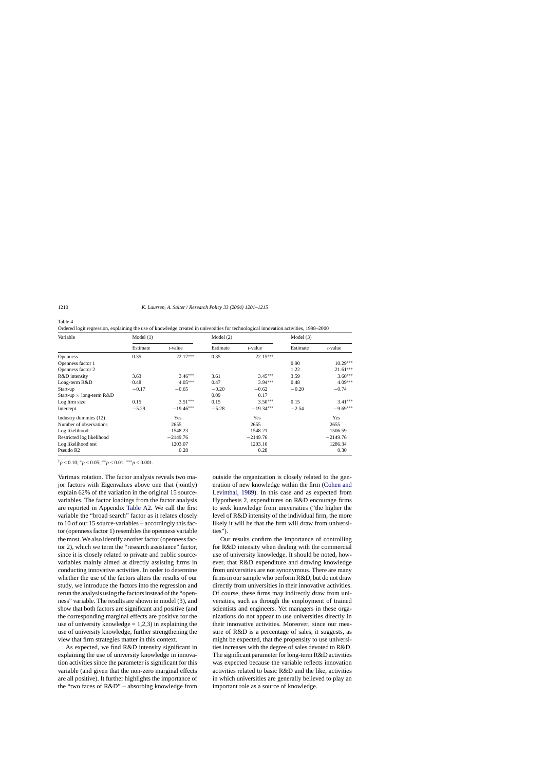| Variable                        | Model $(1)$ |             | Model $(2)$ |             | Model $(3)$ |            |
|---------------------------------|-------------|-------------|-------------|-------------|-------------|------------|
|                                 | Estimate    | t-value     | Estimate    | t-value     | Estimate    | t-value    |
| <b>Openness</b>                 | 0.35        | $22.17***$  | 0.35        | $22.15***$  |             |            |
| Openness factor 1               |             |             |             |             | 0.90        | $10.29***$ |
| Openness factor 2               |             |             |             |             | 1.22        | $21.61***$ |
| R&D intensity                   | 3.63        | $3.46***$   | 3.61        | $3.45***$   | 3.59        | $3.60***$  |
| Long-term R&D                   | 0.48        | $4.05***$   | 0.47        | $3.94***$   | 0.48        | $4.09***$  |
| Start-up                        | $-0.17$     | $-0.65$     | $-0.20$     | $-0.62$     | $-0.20$     | $-0.74$    |
| Start-up $\times$ long-term R&D |             |             | 0.09        | 0.17        |             |            |
| Log firm size                   | 0.15        | $3.51***$   | 0.15        | $3.50***$   | 0.15        | $3.41***$  |
| Intercept                       | $-5.29$     | $-19.46***$ | $-5.28$     | $-19.34***$ | $-2.54$     | $-9.69***$ |
| Industry dummies (12)           |             | Yes         |             | Yes         |             | Yes        |
| Number of observations          |             | 2655        |             | 2655        |             | 2655       |
| Log likelihood                  |             | $-1548.23$  |             | $-1548.21$  |             | $-1506.59$ |
| Restricted log likelihood       |             | $-2149.76$  |             | $-2149.76$  |             | $-2149.76$ |
| Log likelihood test             |             | 1203.07     |             | 1203.10     |             | 1286.34    |
| Pseudo R <sub>2</sub>           |             | 0.28        |             | 0.28        |             | 0.30       |

<span id="page-9-0"></span>Table 4

Ordered logit regression, explaining the use of knowledge created in universities for technological innovation activities, 1998–2000

†*p* < 0.10; <sup>∗</sup>*p* < 0.05; ∗∗*p* < 0.01; ∗∗∗*p* < 0.001.

Varimax rotation. The factor analysis reveals two major factors with Eigenvalues above one that (jointly) explain 62% of the variation in the original 15 sourcevariables. The factor loadings from the factor analysis are reported in Appendix [Table A2.](#page-12-0) We call the first variable the "broad search" factor as it relates closely to 10 of our 15 source-variables – accordingly this factor (openness factor 1) resembles the openness variable the most. We also identify another factor (openness factor 2), which we term the "research assistance" factor, since it is closely related to private and public sourcevariables mainly aimed at directly assisting firms in conducting innovative activities. In order to determine whether the use of the factors alters the results of our study, we introduce the factors into the regression and rerun the analysis using the factors instead of the "openness" variable. The results are shown in model (3), and show that both factors are significant and positive (and the corresponding marginal effects are positive for the use of university knowledge  $= 1,2,3$  in explaining the use of university knowledge, further strengthening the view that firm strategies matter in this context.

As expected, we find R&D intensity significant in explaining the use of university knowledge in innovation activities since the parameter is significant for this variable (and given that the non-zero marginal effects are all positive). It further highlights the importance of the "two faces of R&D" – absorbing knowledge from outside the organization is closely related to the generation of new knowledge within the firm ([Cohen and](#page-13-0) [Levinthal, 1989\)](#page-13-0). In this case and as expected from Hypothesis 2, expenditures on R&D encourage firms to seek knowledge from universities ("the higher the level of R&D intensity of the individual firm, the more likely it will be that the firm will draw from universities").

Our results confirm the importance of controlling for R&D intensity when dealing with the commercial use of university knowledge. It should be noted, however, that R&D expenditure and drawing knowledge from universities are not synonymous. There are many firms in our sample who perform R&D, but do not draw directly from universities in their innovative activities. Of course, these firms may indirectly draw from universities, such as through the employment of trained scientists and engineers. Yet managers in these organizations do not appear to use universities directly in their innovative activities. Moreover, since our measure of R&D is a percentage of sales, it suggests, as might be expected, that the propensity to use universities increases with the degree of sales devoted to R&D. The significant parameter for long-term R&D activities was expected because the variable reflects innovation activities related to basic R&D and the like, activities in which universities are generally believed to play an important role as a source of knowledge.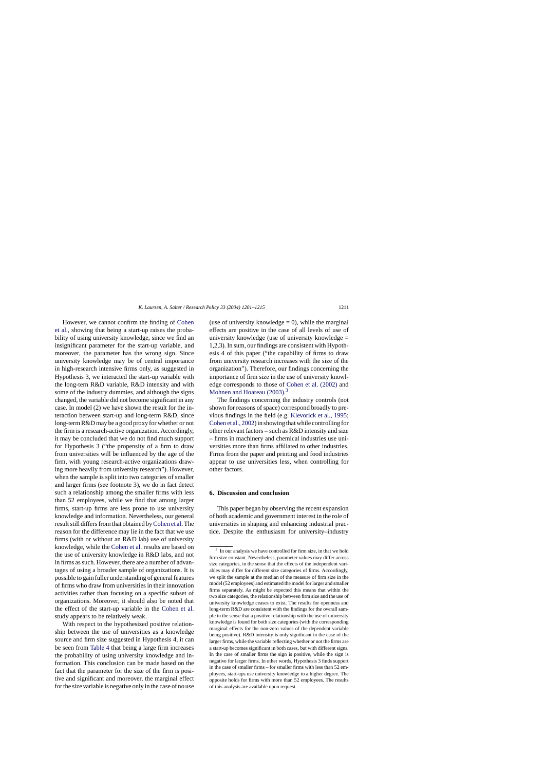<span id="page-10-0"></span>However, we cannot confirm the finding of [Cohen](#page-13-0) [et al.,](#page-13-0) showing that being a start-up raises the probability of using university knowledge, since we find an insignificant parameter for the start-up variable, and moreover, the parameter has the wrong sign. Since university knowledge may be of central importance in high-research intensive firms only, as suggested in Hypothesis 3, we interacted the start-up variable with the long-tern R&D variable, R&D intensity and with some of the industry dummies, and although the signs changed, the variable did not become significant in any case. In model (2) we have shown the result for the interaction between start-up and long-term R&D, since long-term R&D may be a good proxy for whether or not the firm is a research-active organization. Accordingly, it may be concluded that we do not find much support for Hypothesis 3 ("the propensity of a firm to draw from universities will be influenced by the age of the firm, with young research-active organizations drawing more heavily from university research"). However, when the sample is split into two categories of smaller and larger firms (see footnote 3), we do in fact detect such a relationship among the smaller firms with less than 52 employees, while we find that among larger firms, start-up firms are less prone to use university knowledge and information. Nevertheless, our general result still differs from that obtained by[Cohen et al. T](#page-13-0)he reason for the difference may lie in the fact that we use firms (with or without an R&D lab) use of university knowledge, while the [Cohen et al.](#page-13-0) results are based on the use of university knowledge in R&D labs, and not in firms as such. However, there are a number of advantages of using a broader sample of organizations. It is possible to gain fuller understanding of general features of firms who draw from universities in their innovation activities rather than focusing on a specific subset of organizations. Moreover, it should also be noted that the effect of the start-up variable in the [Cohen et al.](#page-13-0) study appears to be relatively weak.

With respect to the hypothesized positive relationship between the use of universities as a knowledge source and firm size suggested in Hypothesis 4, it can be seen from [Table 4](#page-9-0) that being a large firm increases the probability of using university knowledge and information. This conclusion can be made based on the fact that the parameter for the size of the firm is positive and significant and moreover, the marginal effect for the size variable is negative only in the case of no use

(use of university knowledge  $= 0$ ), while the marginal effects are positive in the case of all levels of use of university knowledge (use of university knowledge  $=$ 1,2,3). In sum, our findings are consistent with Hypothesis 4 of this paper ("the capability of firms to draw from university research increases with the size of the organization"). Therefore, our findings concerning the importance of firm size in the use of university knowledge corresponds to those of [Cohen et al. \(2002\)](#page-13-0) and [Mohnen and Hoareau \(2003\).](#page-13-0)<sup>3</sup>

The findings concerning the industry controls (not shown for reasons of space) correspond broadly to previous findings in the field (e.g. [Klevorick et al., 1995;](#page-13-0) [Cohen et al., 2002\) in](#page-13-0) showing that while controlling for other relevant factors – such as R&D intensity and size – firms in machinery and chemical industries use universities more than firms affiliated to other industries. Firms from the paper and printing and food industries appear to use universities less, when controlling for other factors.

#### **6. Discussion and conclusion**

This paper began by observing the recent expansion of both academic and government interest in the role of universities in shaping and enhancing industrial practice. Despite the enthusiasm for university–industry

<sup>3</sup> In our analysis we have controlled for firm size, in that we hold firm size constant. Nevertheless, parameter values may differ across size categories, in the sense that the effects of the independent variables may differ for different size categories of firms. Accordingly, we split the sample at the median of the measure of firm size in the model (52 employees) and estimated the model for larger and smaller firms separately. As might be expected this means that within the two size categories, the relationship between firm size and the use of university knowledge ceases to exist. The results for openness and long-term R&D are consistent with the findings for the overall sample in the sense that a positive relationship with the use of university knowledge is found for both size categories (with the corresponding marginal effects for the non-zero values of the dependent variable being positive). R&D intensity is only significant in the case of the larger firms, while the variable reflecting whether or not the firms are a start-up becomes significant in both cases, but with different signs. In the case of smaller firms the sign is positive, while the sign is negative for larger firms. In other words, Hypothesis 3 finds support in the case of smaller firms – for smaller firms with less than 52 employees, start-ups use university knowledge to a higher degree. The opposite holds for firms with more than 52 employees. The results of this analysis are available upon request.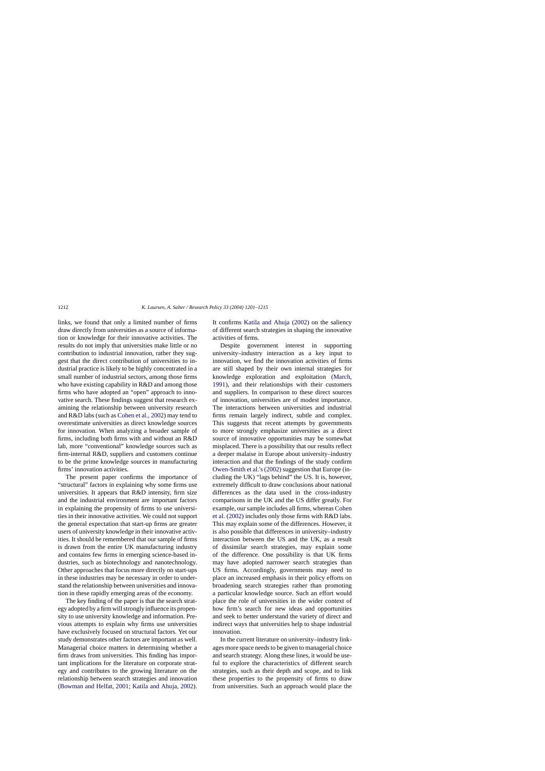links, we found that only a limited number of firms draw directly from universities as a source of information or knowledge for their innovative activities. The results do not imply that universities make little or no contribution to industrial innovation, rather they suggest that the direct contribution of universities to industrial practice is likely to be highly concentrated in a small number of industrial sectors, among those firms who have existing capability in R&D and among those firms who have adopted an "open" approach to innovative search. These findings suggest that research examining the relationship between university research and R&D labs (such as [Cohen et al., 2002\) m](#page-13-0)ay tend to overestimate universities as direct knowledge sources for innovation. When analyzing a broader sample of firms, including both firms with and without an R&D lab, more "conventional" knowledge sources such as firm-internal R&D, suppliers and customers continue to be the prime knowledge sources in manufacturing firms' innovation activities.

The present paper confirms the importance of "structural" factors in explaining why some firms use universities. It appears that R&D intensity, firm size and the industrial environment are important factors in explaining the propensity of firms to use universities in their innovative activities. We could not support the general expectation that start-up firms are greater users of university knowledge in their innovative activities. It should be remembered that our sample of firms is drawn from the entire UK manufacturing industry and contains few firms in emerging science-based industries, such as biotechnology and nanotechnology. Other approaches that focus more directly on start-ups in these industries may be necessary in order to understand the relationship between universities and innovation in these rapidly emerging areas of the economy.

The key finding of the paper is that the search strategy adopted by a firm will strongly influence its propensity to use university knowledge and information. Previous attempts to explain why firms use universities have exclusively focused on structural factors. Yet our study demonstrates other factors are important as well. Managerial choice matters in determining whether a firm draws from universities. This finding has important implications for the literature on corporate strategy and contributes to the growing literature on the relationship between search strategies and innovation ([Bowman and Helfat, 2001; Katila and Ahuja, 2002\)](#page-13-0). It confirms [Katila and Ahuja \(2002\)](#page-13-0) on the saliency of different search strategies in shaping the innovative activities of firms.

Despite government interest in supporting university–industry interaction as a key input to innovation, we find the innovation activities of firms are still shaped by their own internal strategies for knowledge exploration and exploitation [\(March,](#page-13-0) [1991\),](#page-13-0) and their relationships with their customers and suppliers. In comparison to these direct sources of innovation, universities are of modest importance. The interactions between universities and industrial firms remain largely indirect, subtle and complex. This suggests that recent attempts by governments to more strongly emphasize universities as a direct source of innovative opportunities may be somewhat misplaced. There is a possibility that our results reflect a deeper malaise in Europe about university–industry interaction and that the findings of the study confirm [Owen-Smith et al.'s \(2002\)](#page-14-0) suggestion that Europe (including the UK) "lags behind" the US. It is, however, extremely difficult to draw conclusions about national differences as the data used in the cross-industry comparisons in the UK and the US differ greatly. For example, our sample includes all firms, whereas [Cohen](#page-13-0) [et al. \(2002\)](#page-13-0) includes only those firms with R&D labs. This may explain some of the differences. However, it is also possible that differences in university–industry interaction between the US and the UK, as a result of dissimilar search strategies, may explain some of the difference. One possibility is that UK firms may have adopted narrower search strategies than US firms. Accordingly, governments may need to place an increased emphasis in their policy efforts on broadening search strategies rather than promoting a particular knowledge source. Such an effort would place the role of universities in the wider context of how firm's search for new ideas and opportunities and seek to better understand the variety of direct and indirect ways that universities help to shape industrial innovation.

In the current literature on university–industry linkages more space needs to be given to managerial choice and search strategy. Along these lines, it would be useful to explore the characteristics of different search strategies, such as their depth and scope, and to link these properties to the propensity of firms to draw from universities. Such an approach would place the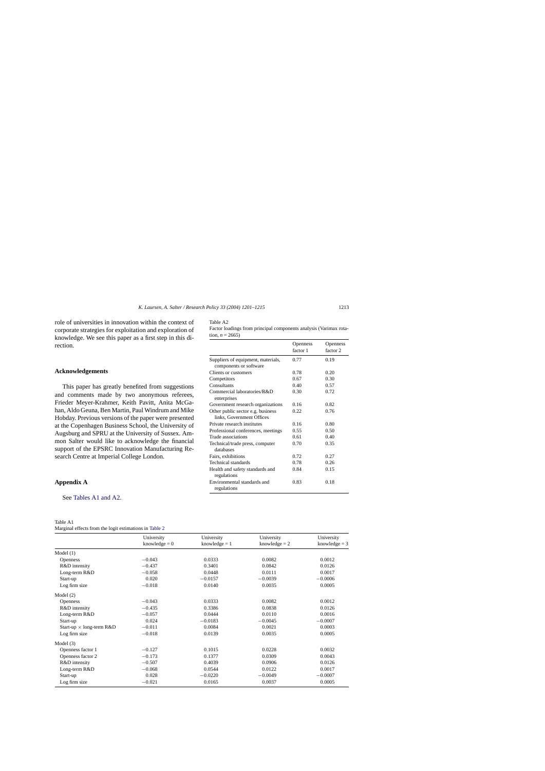<span id="page-12-0"></span>role of universities in innovation within the context of corporate strategies for exploitation and exploration of knowledge. We see this paper as a first step in this direction.

## **Acknowledgements**

This paper has greatly benefited from suggestions and comments made by two anonymous referees, Frieder Meyer-Krahmer, Keith Pavitt, Anita McGahan, Aldo Geuna, Ben Martin, Paul Windrum and Mike Hobday. Previous versions of the paper were presented at the Copenhagen Business School, the University of Augsburg and SPRU at the University of Sussex. Ammon Salter would like to acknowledge the financial support of the EPSRC Innovation Manufacturing Research Centre at Imperial College London.

## **Appendix A**

See Tables A1 and A2.

# Table A1

| Marginal effects from the logit estimations in Table 2 |
|--------------------------------------------------------|
|--------------------------------------------------------|

| Fable |  |
|-------|--|
|-------|--|

| Factor loadings from principal components analysis (Varimax rota- |  |  |
|-------------------------------------------------------------------|--|--|
| tion, $n = 2665$ )                                                |  |  |

|                                                              | Openness<br>factor 1 | <b>Openness</b><br>factor 2 |
|--------------------------------------------------------------|----------------------|-----------------------------|
| Suppliers of equipment, materials,<br>components or software | 0.77                 | 0.19                        |
| Clients or customers                                         | 0.78                 | 0.20                        |
| Competitors                                                  | 0.67                 | 0.30                        |
| Consultants                                                  | 0.40                 | 0.57                        |
| Commercial laboratories/R&D<br>enterprises                   | 0.30                 | 0.72                        |
| Government research organizations                            | 0.16                 | 0.82                        |
| Other public sector e.g. business                            | 0.22                 | 0.76                        |
| links, Government Offices                                    |                      |                             |
| Private research institutes                                  | 0.16                 | 0.80                        |
| Professional conferences, meetings                           | 0.55                 | 0.50                        |
| Trade associations                                           | 0.61                 | 0.40                        |
| Technical/trade press, computer<br>databases                 | 0.70                 | 0.35                        |
| Fairs, exhibitions                                           | 0.72                 | 0.27                        |
| Technical standards                                          | 0.78                 | 0.26                        |
| Health and safety standards and<br>regulations               | 0.84                 | 0.15                        |
| Environmental standards and<br>regulations                   | 0.83                 | 0.18                        |

|                                 | University      | University      | University      | University      |
|---------------------------------|-----------------|-----------------|-----------------|-----------------|
|                                 | knowledge $= 0$ | knowledge $= 1$ | knowledge $= 2$ | knowledge $=$ 3 |
| Model $(1)$                     |                 |                 |                 |                 |
| <b>Openness</b>                 | $-0.043$        | 0.0333          | 0.0082          | 0.0012          |
| R&D intensity                   | $-0.437$        | 0.3401          | 0.0842          | 0.0126          |
| Long-term R&D                   | $-0.058$        | 0.0448          | 0.0111          | 0.0017          |
| Start-up                        | 0.020           | $-0.0157$       | $-0.0039$       | $-0.0006$       |
| Log firm size                   | $-0.018$        | 0.0140          | 0.0035          | 0.0005          |
| Model $(2)$                     |                 |                 |                 |                 |
| <b>Openness</b>                 | $-0.043$        | 0.0333          | 0.0082          | 0.0012          |
| R&D intensity                   | $-0.435$        | 0.3386          | 0.0838          | 0.0126          |
| Long-term R&D                   | $-0.057$        | 0.0444          | 0.0110          | 0.0016          |
| Start-up                        | 0.024           | $-0.0183$       | $-0.0045$       | $-0.0007$       |
| Start-up $\times$ long-term R&D | $-0.011$        | 0.0084          | 0.0021          | 0.0003          |
| Log firm size                   | $-0.018$        | 0.0139          | 0.0035          | 0.0005          |
| Model $(3)$                     |                 |                 |                 |                 |
| Openness factor 1               | $-0.127$        | 0.1015          | 0.0228          | 0.0032          |
| Openness factor 2               | $-0.173$        | 0.1377          | 0.0309          | 0.0043          |
| R&D intensity                   | $-0.507$        | 0.4039          | 0.0906          | 0.0126          |
| Long-term R&D                   | $-0.068$        | 0.0544          | 0.0122          | 0.0017          |
| Start-up                        | 0.028           | $-0.0220$       | $-0.0049$       | $-0.0007$       |
| Log firm size                   | $-0.021$        | 0.0165          | 0.0037          | 0.0005          |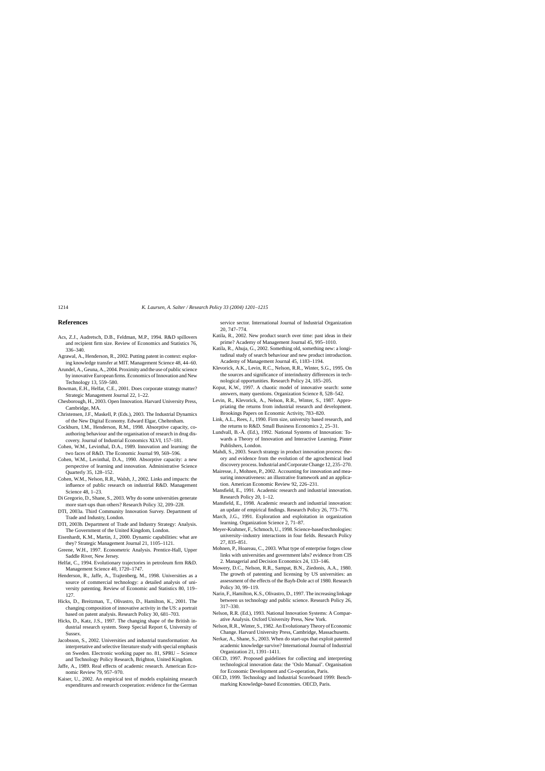### <span id="page-13-0"></span>**References**

- Acs, Z.J., Audretsch, D.B., Feldman, M.P., 1994. R&D spillovers and recipient firm size. Review of Economics and Statistics 76, 336–340.
- Agrawal, A., Henderson, R., 2002. Putting patent in context: exploring knowledge transfer at MIT. Management Science 48, 44–60.
- Arundel, A., Geuna, A., 2004. Proximity and the use of public science by innovative European firms. Economics of Innovation and New Technology 13, 559–580.
- Bowman, E.H., Helfat, C.E., 2001. Does corporate strategy matter? Strategic Management Journal 22, 1–22.
- Chesborough, H., 2003. Open Innovation. Harvard University Press, Cambridge, MA.
- Christensen, J.F., Maskell, P. (Eds.), 2003. The Industrial Dynamics of the New Digital Economy. Edward Elgar, Cheltenham.
- Cockburn, I.M., Henderson, R.M., 1998. Absorptive capacity, coauthoring behaviour and the organisation of research in drug discovery. Journal of Industrial Economics XLVI, 157–181.
- Cohen, W.M., Levinthal, D.A., 1989. Innovation and learning: the two faces of R&D. The Economic Journal 99, 569–596.
- Cohen, W.M., Levinthal, D.A., 1990. Absorptive capacity: a new perspective of learning and innovation. Administrative Science Quarterly 35, 128–152.
- Cohen, W.M., Nelson, R.R., Walsh, J., 2002. Links and impacts: the influence of public research on industrial R&D. Management Science 48, 1–23.
- Di Gregorio, D., Shane, S., 2003. Why do some universities generate more start-ups than others? Research Policy 32, 209–228.
- DTI, 2003a. Third Community Innovation Survey. Department of Trade and Industry, London.
- DTI, 2003b. Department of Trade and Industry Strategy: Analysis. The Government of the United Kingdom, London.
- Eisenhardt, K.M., Martin, J., 2000. Dynamic capabilities: what are they? Strategic Management Journal 21, 1105–1121.
- Greene, W.H., 1997. Econometric Analysis. Prentice-Hall, Upper Saddle River, New Jersey.
- Helfat, C., 1994. Evolutionary trajectories in petroleum firm R&D. Management Science 40, 1720–1747.
- Henderson, R., Jaffe, A., Trajtenberg, M., 1998. Universities as a source of commercial technology: a detailed analysis of university patenting. Review of Economic and Statistics 80, 119– 127.
- Hicks, D., Breitzman, T., Olivastro, D., Hamilton, K., 2001. The changing composition of innovative activity in the US: a portrait based on patent analysis. Research Policy 30, 681–703.
- Hicks, D., Katz, J.S., 1997. The changing shape of the British industrial research system. Steep Special Report 6, University of Sussex.
- Jacobsson, S., 2002. Universities and industrial transformation: An interpretative and selective literature study with special emphasis on Sweden. Electronic working paper no. 81, SPRU – Science and Technology Policy Research, Brighton, United Kingdom.
- Jaffe, A., 1989. Real effects of academic research. American Economic Review 79, 957–970.
- Kaiser, U., 2002. An empirical test of models explaining research expenditures and research cooperation: evidence for the German

service sector. International Journal of Industrial Organization 20, 747–774.

- Katila, R., 2002. New product search over time: past ideas in their prime? Academy of Management Journal 45, 995–1010.
- Katila, R., Ahuja, G., 2002. Something old, something new: a longitudinal study of search behaviour and new product introduction. Academy of Management Journal 45, 1183–1194.
- Klevorick, A.K., Levin, R.C., Nelson, R.R., Winter, S.G., 1995. On the sources and significance of interindustry differences in technological opportunities. Research Policy 24, 185–205.
- Koput, K.W., 1997. A chaotic model of innovative search: some answers, many questions. Organization Science 8, 528–542.
- Levin, R., Klevorick, A., Nelson, R.R., Winter, S., 1987. Appropriating the returns from industrial research and development. Brookings Papers on Economic Activity, 783–820.
- Link, A.L., Rees, J., 1990. Firm size, university based research, and the returns to R&D. Small Business Economics 2, 25–31.
- Lundvall, B.-Å. (Ed.), 1992. National Systems of Innovation: Towards a Theory of Innovation and Interactive Learning. Pinter Publishers, London.
- Mahdi, S., 2003. Search strategy in product innovation process: theory and evidence from the evolution of the agrochemical lead discovery process. Industrial and Corporate Change 12, 235–270.
- Mairesse, J., Mohnen, P., 2002. Accounting for innovation and measuring innovativeness: an illustrative framework and an application. American Economic Review 92, 226–231.
- Mansfield, E., 1991. Academic research and industrial innovation. Research Policy 20, 1–12.
- Mansfield, E., 1998. Academic research and industrial innovation: an update of empirical findings. Research Policy 26, 773–776.
- March, J.G., 1991. Exploration and exploitation in organization learning. Organization Science 2, 71–87.
- Meyer-Krahmer, F., Schmoch, U., 1998. Science-based technologies: university–industry interactions in four fields. Research Policy 27, 835–851.
- Mohnen, P., Hoareau, C., 2003. What type of enterprise forges close links with universities and government labs? evidence from CIS 2. Managerial and Decision Economics 24, 133–146.
- Mowery, D.C., Nelson, R.R., Sampat, B.N., Ziedonis, A.A., 1980. The growth of patenting and licensing by US universities: an assessment of the effects of the Bayh-Dole act of 1980. Research Policy 30, 99–119.
- Narin, F., Hamilton, K.S., Olivastro, D., 1997. The increasing linkage between us technology and public science. Research Policy 26, 317–330.
- Nelson, R.R. (Ed.), 1993. National Innovation Systems: A Comparative Analysis. Oxford University Press, New York.
- Nelson, R.R., Winter, S., 1982. An Evolutionary Theory of Economic Change. Harvard University Press, Cambridge, Massachusetts.
- Nerkar, A., Shane, S., 2003. When do start-ups that exploit patented academic knowledge survive? International Journal of Industrial Organization 21, 1391–1411.
- OECD, 1997. Proposed guidelines for collecting and interpreting technological innovation data: the 'Oslo Manual'. Organisation for Economic Development and Co-operation, Paris.
- OECD, 1999. Technology and Industrial Scoreboard 1999: Benchmarking Knowledge-based Economies. OECD, Paris.